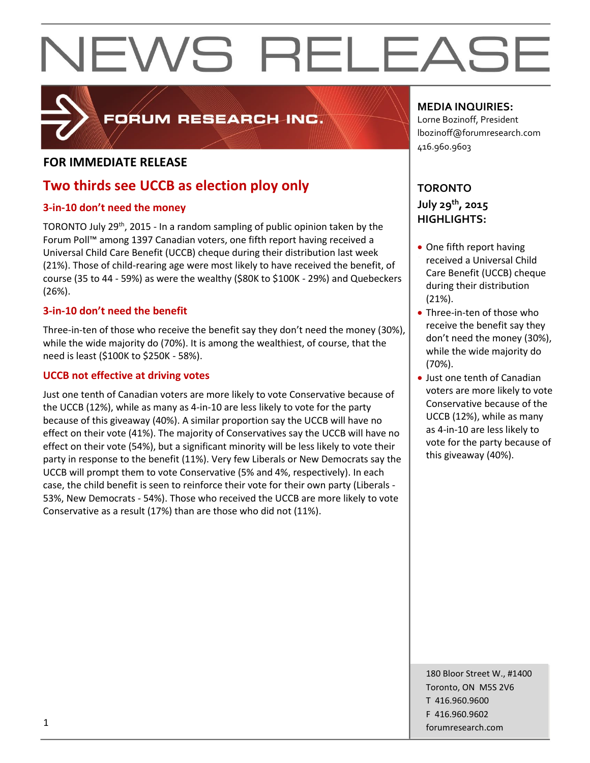

#### FORUM RESEARCH INC.

#### **FOR IMMEDIATE RELEASE**

#### **Two thirds see UCCB as election ploy only**

#### **3-in-10 don't need the money**

TORONTO July 29<sup>th</sup>, 2015 - In a random sampling of public opinion taken by the Forum Poll™ among 1397 Canadian voters, one fifth report having received a Universal Child Care Benefit (UCCB) cheque during their distribution last week (21%). Those of child-rearing age were most likely to have received the benefit, of course (35 to 44 - 59%) as were the wealthy (\$80K to \$100K - 29%) and Quebeckers (26%).

#### **3-in-10 don't need the benefit**

Three-in-ten of those who receive the benefit say they don't need the money (30%), while the wide majority do (70%). It is among the wealthiest, of course, that the need is least (\$100K to \$250K - 58%).

#### **UCCB not effective at driving votes**

Just one tenth of Canadian voters are more likely to vote Conservative because of the UCCB (12%), while as many as 4-in-10 are less likely to vote for the party because of this giveaway (40%). A similar proportion say the UCCB will have no effect on their vote (41%). The majority of Conservatives say the UCCB will have no effect on their vote (54%), but a significant minority will be less likely to vote their party in response to the benefit (11%). Very few Liberals or New Democrats say the UCCB will prompt them to vote Conservative (5% and 4%, respectively). In each case, the child benefit is seen to reinforce their vote for their own party (Liberals - 53%, New Democrats - 54%). Those who received the UCCB are more likely to vote Conservative as a result (17%) than are those who did not (11%).

#### **MEDIA INQUIRIES:**

Lorne Bozinoff, President lbozinoff@forumresearch.com 416.960.9603

#### **TORONTO July 29th, 2015 HIGHLIGHTS:**

- One fifth report having received a Universal Child Care Benefit (UCCB) cheque during their distribution (21%).
- Three-in-ten of those who receive the benefit say they don't need the money (30%), while the wide majority do (70%).
- Just one tenth of Canadian voters are more likely to vote Conservative because of the UCCB (12%), while as many as 4-in-10 are less likely to vote for the party because of this giveaway (40%).

180 Bloor Street W., #1400 Toronto, ON M5S 2V6 T 416.960.9600 F 416.960.9602 **forumresearch.com** and the set of the set of the set of the set of the set of the set of the set of the set of the set of the set of the set of the set of the set of the set of the set of the set of the set of the set of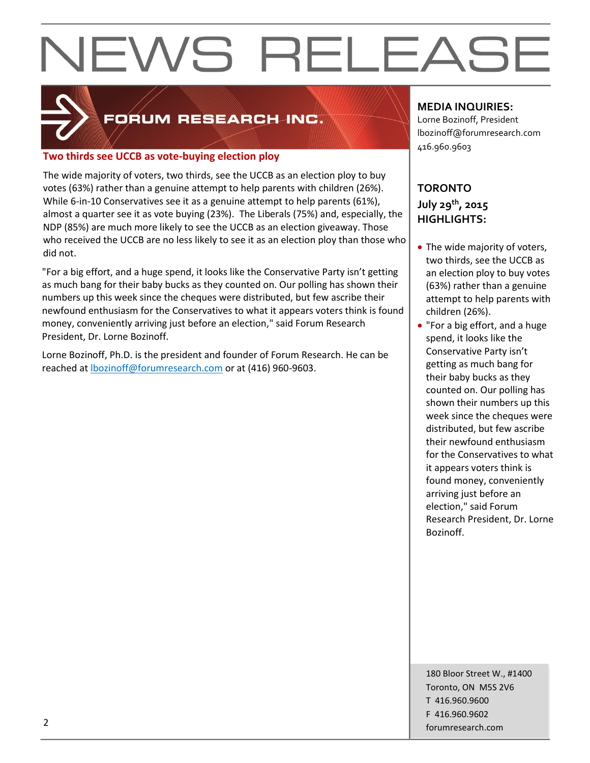

#### FORUM RESEARCH INC.

#### **Two thirds see UCCB as vote-buying election ploy**

The wide majority of voters, two thirds, see the UCCB as an election ploy to buy votes (63%) rather than a genuine attempt to help parents with children (26%). While 6-in-10 Conservatives see it as a genuine attempt to help parents (61%), almost a quarter see it as vote buying (23%). The Liberals (75%) and, especially, the NDP (85%) are much more likely to see the UCCB as an election giveaway. Those who received the UCCB are no less likely to see it as an election ploy than those who did not.

"For a big effort, and a huge spend, it looks like the Conservative Party isn't getting as much bang for their baby bucks as they counted on. Our polling has shown their numbers up this week since the cheques were distributed, but few ascribe their newfound enthusiasm for the Conservatives to what it appears voters think is found money, conveniently arriving just before an election," said Forum Research President, Dr. Lorne Bozinoff.

Lorne Bozinoff, Ph.D. is the president and founder of Forum Research. He can be reached at [lbozinoff@forumresearch.com](mailto:lbozinoff@forumresearch.com) or at (416) 960-9603.

#### **MEDIA INQUIRIES:**

Lorne Bozinoff, President lbozinoff@forumresearch.com 416.960.9603

#### **TORONTO July 29th, 2015 HIGHLIGHTS:**

- The wide majority of voters, two thirds, see the UCCB as an election ploy to buy votes (63%) rather than a genuine attempt to help parents with children (26%).
- "For a big effort, and a huge spend, it looks like the Conservative Party isn't getting as much bang for their baby bucks as they counted on. Our polling has shown their numbers up this week since the cheques were distributed, but few ascribe their newfound enthusiasm for the Conservatives to what it appears voters think is found money, conveniently arriving just before an election," said Forum Research President, Dr. Lorne Bozinoff.

180 Bloor Street W., #1400 Toronto, ON M5S 2V6 T 416.960.9600 F 416.960.9602 example to the contract of the contract of the contract of the contract of the contract of the contract of the contract of the contract of the contract of the contract of the contract of the contract of the contract of the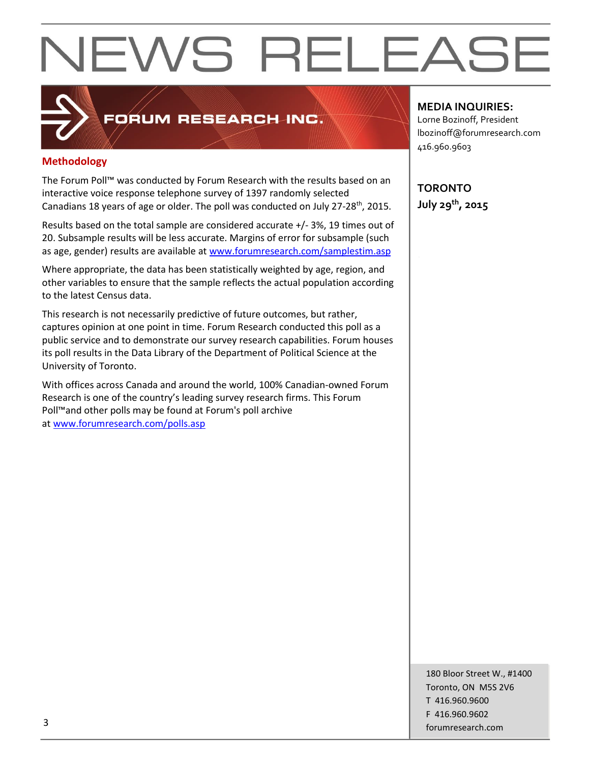### FORUM RESEARCH INC.

#### **Methodology**

The Forum Poll™ was conducted by Forum Research with the results based on an interactive voice response telephone survey of 1397 randomly selected Canadians 18 years of age or older. The poll was conducted on July 27-28<sup>th</sup>, 2015.

Results based on the total sample are considered accurate +/- 3%, 19 times out of 20. Subsample results will be less accurate. Margins of error for subsample (such as age, gender) results are available at [www.forumresearch.com/samplestim.asp](http://www.forumresearch.com/samplestim.asp)

Where appropriate, the data has been statistically weighted by age, region, and other variables to ensure that the sample reflects the actual population according to the latest Census data.

This research is not necessarily predictive of future outcomes, but rather, captures opinion at one point in time. Forum Research conducted this poll as a public service and to demonstrate our survey research capabilities. Forum houses its poll results in the Data Library of the Department of Political Science at the University of Toronto.

With offices across Canada and around the world, 100% Canadian-owned Forum Research is one of the country's leading survey research firms. This Forum Poll™and other polls may be found at Forum's poll archive at [www.forumresearch.com/polls.asp](http://www.forumresearch.com/polls.asp)

#### **MEDIA INQUIRIES:**

Lorne Bozinoff, President lbozinoff@forumresearch.com 416.960.9603

**TORONTO July 29th, 2015**

180 Bloor Street W., #1400 Toronto, ON M5S 2V6 T 416.960.9600 F 416.960.9602 for the contract of the contract of the contract of the contract of the contract of the contract of the contract of the contract of the contract of the contract of the contract of the contract of the contract of the contra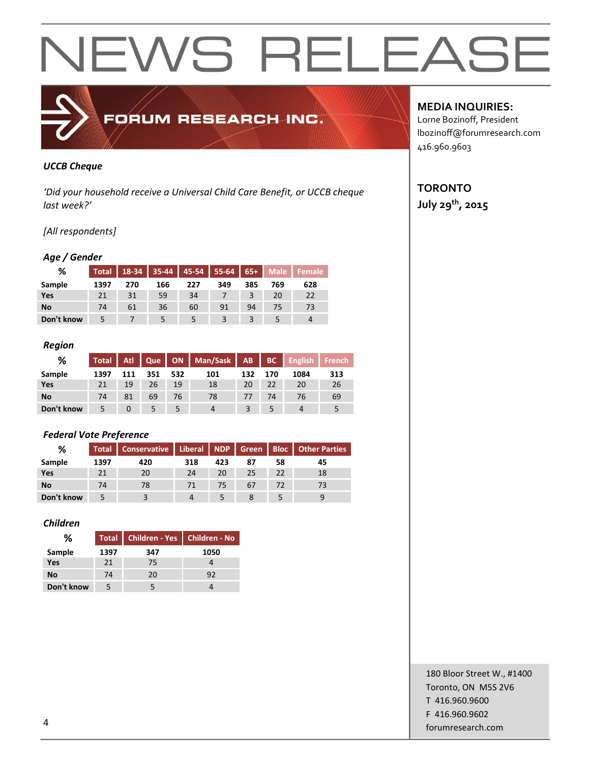### FORUM RESEARCH INC.

#### *UCCB Cheque*

*'Did your household receive a Universal Child Care Benefit, or UCCB cheque last week?'*

#### *[All respondents]*

#### *Age / Gender*

| %          |      |     |     |     |     |     |     | Total   18-34   35-44   45-54   55-64   65+   Male   Female |
|------------|------|-----|-----|-----|-----|-----|-----|-------------------------------------------------------------|
| Sample     | 1397 | 270 | 166 | 227 | 349 | 385 | 769 | 628                                                         |
| Yes        |      | 31  | 59  | 34  |     |     | 20  | 22                                                          |
| <b>No</b>  | 74   | 61  | 36  | 60  | 91  | 94  | 75  | 73                                                          |
| Don't know |      |     |     |     |     |     |     |                                                             |

#### *Region*

| ℅          | Total |     |     |     | Atl   Que   ON   Man/Sask   AB |                |     | BC English | <b>French</b> |
|------------|-------|-----|-----|-----|--------------------------------|----------------|-----|------------|---------------|
| Sample     | 1397  | 111 | 351 | 532 | 101                            | 132            | 170 | 1084       | 313           |
| Yes        | 21    | 19  | 26  | 19  | 18                             | 20             | 22  | 20         | 26            |
| <b>No</b>  | 74    | 81  | 69  | 76  | 78                             | $\prime\prime$ | 74  | 76         | 69            |
| Don't know |       |     |     |     |                                |                |     |            |               |

#### *Federal Vote Preference*

| %          |      | Total   Conservative   Liberal   NDP   Green   Bloc   Other Parties |     |     |    |    |    |
|------------|------|---------------------------------------------------------------------|-----|-----|----|----|----|
| Sample     | 1397 | 420                                                                 | 318 | 423 | 87 | 58 | 45 |
| Yes        | 21   | 20                                                                  | 24  | 20  | 25 | 22 | 18 |
| <b>No</b>  | 74   | 78                                                                  | 71  | 75  | 67 | 72 |    |
| Don't know |      |                                                                     |     |     |    |    |    |

#### *Children*

| %          |      | Total Children - Yes Children - No |      |
|------------|------|------------------------------------|------|
| Sample     | 1397 | 347                                | 1050 |
| Yes        | 21   | 75                                 |      |
| <b>No</b>  | 74   | 20                                 | 92   |
| Don't know |      |                                    |      |

#### **MEDIA INQUIRIES:**

Lorne Bozinoff, President lbozinoff@forumresearch.com 416.960.9603

#### **TORONTO July 29th, 2015**

180 Bloor Street W., #1400 Toronto, ON M5S 2V6 T 416.960.9600 F 416.960.9602 example to the contract of the contract of the contract of the contract of the contract of the contract of the contract of the contract of the contract of the contract of the contract of the contract of the contract of the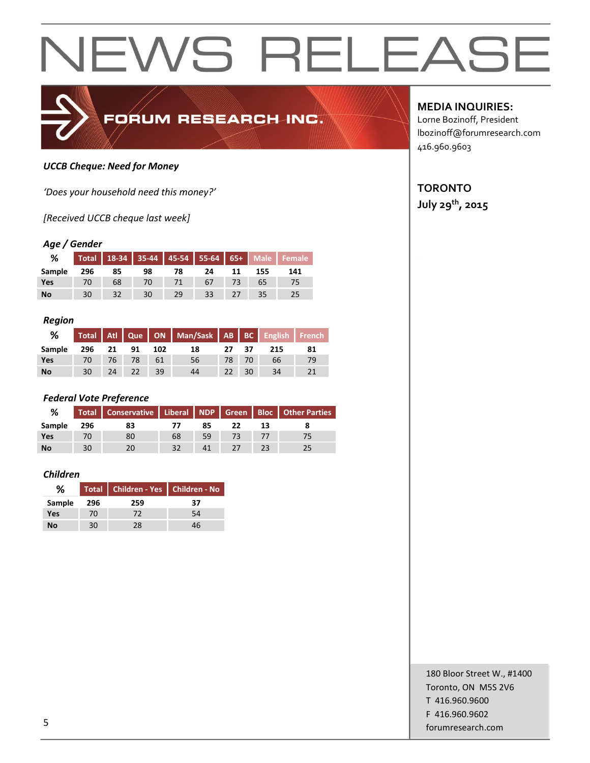

#### *UCCB Cheque: Need for Money*

*'Does your household need this money?'*

*[Received UCCB cheque last week]*

#### *Age / Gender*

| %         |     |    |    |    |    |    |     | Total 18-34 35-44 45-54 55-64 65+ Male Female |
|-----------|-----|----|----|----|----|----|-----|-----------------------------------------------|
| Sample    | 296 | 85 | 98 | 78 | 24 | 11 | 155 | 141                                           |
| Yes       |     | 68 | 70 |    | 67 |    |     |                                               |
| <b>No</b> | 30  | 32 | 30 | 29 | 33 | 27 |     |                                               |

#### *Region*

| %         |    |    |           |     | Total   Atl   Que   ON   Man/Sask   AB   BC   English   French |       |     |     |    |
|-----------|----|----|-----------|-----|----------------------------------------------------------------|-------|-----|-----|----|
| Sample    |    |    | 296 21 91 | 102 | 18                                                             | 27 37 |     | 215 | 81 |
| Yes       | 70 | 76 |           | 61  | 56                                                             | 78    | 70  | 66  | 79 |
| <b>No</b> | 30 | 24 | $-22$     | 39  | 44                                                             | 22    | -30 | 34  |    |

#### *Federal Vote Preference*

| %         |     | Total   Conservative   Liberal   NDP   Green   Bloc   Other Parties |    |    |  |  |
|-----------|-----|---------------------------------------------------------------------|----|----|--|--|
| Sample    | 296 | 83                                                                  |    | 85 |  |  |
| Yes       |     | 80                                                                  | 68 | 59 |  |  |
| <b>No</b> | 30  |                                                                     | 32 |    |  |  |

#### *Children*

| %      |     | Total   Children - Yes   Children - No |    |
|--------|-----|----------------------------------------|----|
| Sample | 296 | 259                                    | 37 |
| Yes    | 70  | 72                                     | 54 |
| Νo     | 30  | 28                                     | 46 |

**MEDIA INQUIRIES:**

Lorne Bozinoff, President lbozinoff@forumresearch.com 416.960.9603

#### **TORONTO**

**July 29th, 2015**

180 Bloor Street W., #1400 Toronto, ON M5S 2V6 T 416.960.9600 F 416.960.9602 forumresearch.com 5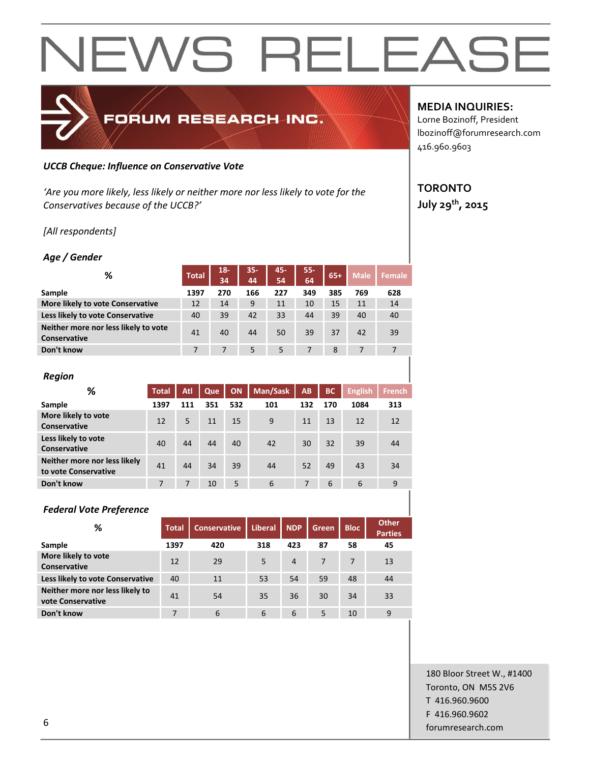### FORUM RESEARCH INC.

#### *UCCB Cheque: Influence on Conservative Vote*

*'Are you more likely, less likely or neither more nor less likely to vote for the Conservatives because of the UCCB?'*

*[All respondents]*

#### *Age / Gender*

| %                                                           | <b>Total</b> | $18-$<br>34 | 35-<br>44 | 45-<br>54 | 55-<br>64 | $65+$ | <b>Male</b> | Female |
|-------------------------------------------------------------|--------------|-------------|-----------|-----------|-----------|-------|-------------|--------|
| Sample                                                      | 1397         | 270         | 166       | 227       | 349       | 385   | 769         | 628    |
| More likely to vote Conservative                            | 12           | 14          | 9         | 11        | 10        | 15    | 11          | 14     |
| Less likely to vote Conservative                            | 40           | 39          | 42        | 33        | 44        | 39    | 40          | 40     |
| Neither more nor less likely to vote<br><b>Conservative</b> | 41           | 40          | 44        | 50        | 39        | 37    | 42          | 39     |
| Don't know                                                  |              |             | 5         | 5         | 7         | 8     |             |        |

| <b>Region</b>                                        |              |     |     |     |          |     |           |                |               |
|------------------------------------------------------|--------------|-----|-----|-----|----------|-----|-----------|----------------|---------------|
| %                                                    | <b>Total</b> | Atl | Que | ON  | Man/Sask | AB  | <b>BC</b> | <b>English</b> | <b>French</b> |
| Sample                                               | 1397         | 111 | 351 | 532 | 101      | 132 | 170       | 1084           | 313           |
| More likely to vote<br>Conservative                  | 12           | 5   | 11  | 15  | 9        | 11  | 13        | 12             | 12            |
| Less likely to vote<br>Conservative                  | 40           | 44  | 44  | 40  | 42       | 30  | 32        | 39             | 44            |
| Neither more nor less likely<br>to vote Conservative | 41           | 44  | 34  | 39  | 44       | 52  | 49        | 43             | 34            |
| Don't know                                           | 7            | 7   | 10  | 5   | 6        | 7   | 6         | 6              | 9             |

| <b>Federal Vote Preference</b>                       |              |                     |         |                |       |             |                                |
|------------------------------------------------------|--------------|---------------------|---------|----------------|-------|-------------|--------------------------------|
| ℅                                                    | <b>Total</b> | <b>Conservative</b> | Liberal | <b>NDP</b>     | Green | <b>Bloc</b> | <b>Other</b><br><b>Parties</b> |
| Sample                                               | 1397         | 420                 | 318     | 423            | 87    | 58          | 45                             |
| More likely to vote<br>Conservative                  | 12           | 29                  | 5       | $\overline{4}$ | 7     | 7           | 13                             |
| Less likely to vote Conservative                     | 40           | 11                  | 53      | 54             | 59    | 48          | 44                             |
| Neither more nor less likely to<br>vote Conservative | 41           | 54                  | 35      | 36             | 30    | 34          | 33                             |
| Don't know                                           | 7            | 6                   | 6       | 6              | 5     | 10          | 9                              |

#### **MEDIA INQUIRIES:**

Lorne Bozinoff, President lbozinoff@forumresearch.com 416.960.9603

#### **TORONTO July 29th, 2015**

180 Bloor Street W., #1400 Toronto, ON M5S 2V6 T 416.960.9600 F 416.960.9602 forumresearch.com 6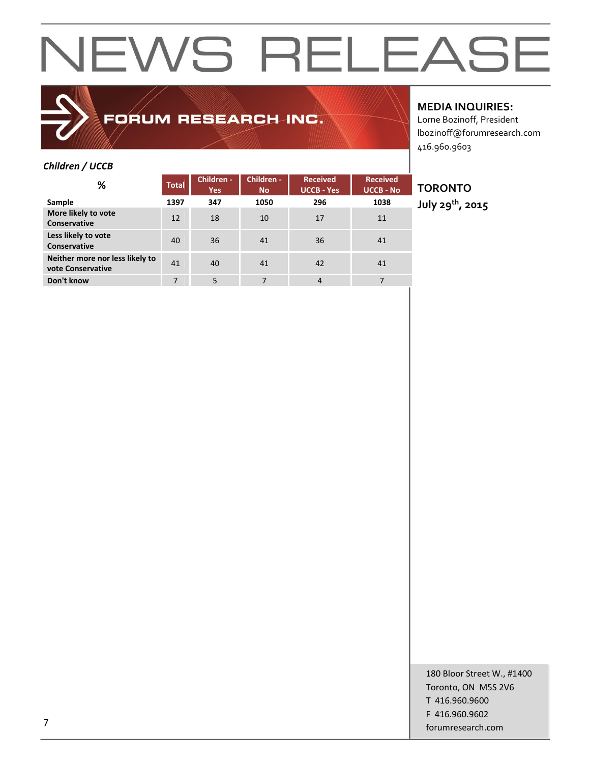### FORUM RESEARCH INC.

#### **MEDIA INQUIRIES:**

Lorne Bozinoff, President lbozinoff@forumresearch.com 416.960.9603

#### *Children / UCCB*

| ℅                                                    | <b>Total</b> | Children -<br><b>Yes</b> | Children -<br><b>No</b> | <b>Received</b><br><b>UCCB - Yes</b> | <b>Received</b><br><b>UCCB - No</b> |
|------------------------------------------------------|--------------|--------------------------|-------------------------|--------------------------------------|-------------------------------------|
| Sample                                               | 1397         | 347                      | 1050                    | 296                                  | 1038                                |
| More likely to vote<br>Conservative                  | 12           | 18                       | 10                      | 17                                   | 11                                  |
| Less likely to vote<br>Conservative                  | 40           | 36                       | 41                      | 36                                   | 41                                  |
| Neither more nor less likely to<br>vote Conservative | 41           | 40                       | 41                      | 42                                   | 41                                  |
| Don't know                                           | 7            | 5                        | 7                       | $\overline{4}$                       | 7                                   |

#### **TORONTO**

**July 29th, 2015**

180 Bloor Street W., #1400 Toronto, ON M5S 2V6 T 416.960.9600 F 416.960.9602 forumresearch.com and the contract of the contract of the contract of the contract of the contract of the contract of the contract of the contract of the contract of the contract of the contract of the contract of the cont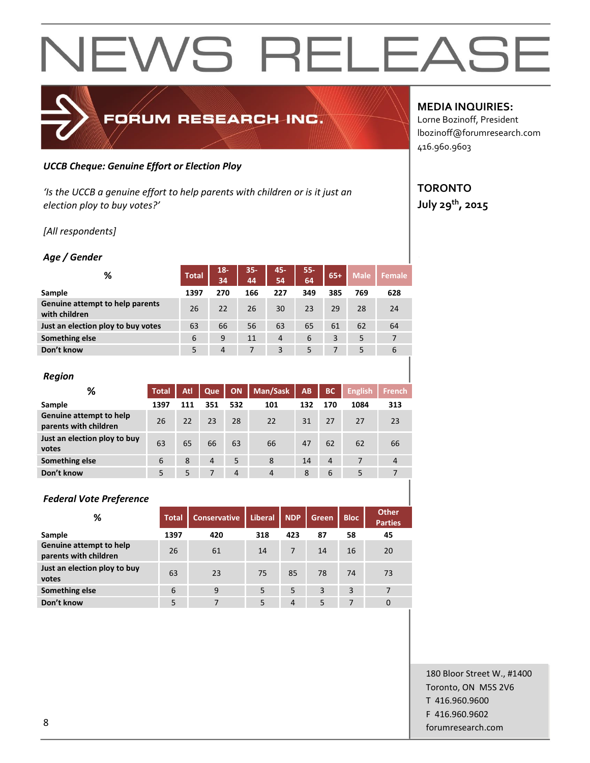#### *UCCB Cheque: Genuine Effort or Election Ploy*

*'Is the UCCB a genuine effort to help parents with children or is it just an election ploy to buy votes?'*

FORUM RESEARCH INC.

*[All respondents]*

#### *Age / Gender*

| %                                                | <b>Total</b> | $18-$<br>34 | $35 -$<br>44 | 45-<br>54      | $55-$<br>64 | $65+$ | <b>Male</b> | <b>Female</b> |
|--------------------------------------------------|--------------|-------------|--------------|----------------|-------------|-------|-------------|---------------|
| Sample                                           | 1397         | 270         | 166          | 227            | 349         | 385   | 769         | 628           |
| Genuine attempt to help parents<br>with children | 26           | 22          | 26           | 30             | 23          | 29    | 28          | 24            |
| Just an election ploy to buy votes               | 63           | 66          | 56           | 63             | 65          | 61    | 62          | 64            |
| Something else                                   | 6            | 9           | 11           | $\overline{4}$ | 6           | 3     | 5           | 7             |
| Don't know                                       | 5            | 4           | 7            | 3              | 5           | 7     | 5           | 6             |
|                                                  |              |             |              |                |             |       |             |               |

| <b>Region</b>                                    |              |     |                |                |                |           |                |                |                |
|--------------------------------------------------|--------------|-----|----------------|----------------|----------------|-----------|----------------|----------------|----------------|
| ℅                                                | <b>Total</b> | Atl | Que            | <b>ON</b>      | Man/Sask       | <b>AB</b> | <b>BC</b>      | <b>English</b> | <b>French</b>  |
| Sample                                           | 1397         | 111 | 351            | 532            | 101            | 132       | 170            | 1084           | 313            |
| Genuine attempt to help<br>parents with children | 26           | 22  | 23             | 28             | 22             | 31        | 27             | 27             | 23             |
| Just an election ploy to buy<br>votes            | 63           | 65  | 66             | 63             | 66             | 47        | 62             | 62             | 66             |
| Something else                                   | 6            | 8   | $\overline{4}$ | 5              | 8              | 14        | $\overline{4}$ | 7              | $\overline{4}$ |
| Don't know                                       | 5            | 5   |                | $\overline{4}$ | $\overline{4}$ | 8         | 6              | 5              | 7              |

#### *Federal Vote Preference*

| %                                                | <b>Total</b> | <b>Conservative</b> | <b>Liberal</b> | <b>NDP</b>     | Green | <b>Bloc</b> | <b>Other</b><br><b>Parties</b> |
|--------------------------------------------------|--------------|---------------------|----------------|----------------|-------|-------------|--------------------------------|
| Sample                                           | 1397         | 420                 | 318            | 423            | 87    | 58          | 45                             |
| Genuine attempt to help<br>parents with children | 26           | 61                  | 14             |                | 14    | 16          | 20                             |
| Just an election ploy to buy<br>votes            | 63           | 23                  | 75             | 85             | 78    | 74          | 73                             |
| Something else                                   | 6            | 9                   | 5              | 5              | 3     | 3           | 7                              |
| Don't know                                       | 5            | 7                   | 5              | $\overline{4}$ | 5     | 7           | $\mathbf 0$                    |

#### **MEDIA INQUIRIES:**

Lorne Bozinoff, President lbozinoff@forumresearch.com 416.960.9603

#### **TORONTO July 29th, 2015**

180 Bloor Street W., #1400 Toronto, ON M5S 2V6 T 416.960.9600 F 416.960.9602 end to the state of the state of the state of the state of the state of the state of the state of the state of the state of the state of the state of the state of the state of the state of the state of the state of the sta